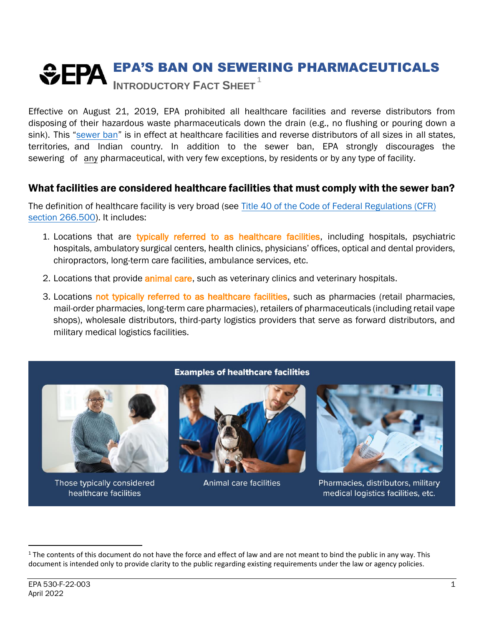# EPA'S BAN ON SEWERING PHARMACEUTICALS **INTRODUCTORY FACT SHEET <sup>1</sup>**

Effective on August 21, 2019, EPA prohibited all healthcare facilities and reverse distributors from disposing of their hazardous waste pharmaceuticals down the drain (e.g., no flushing or pouring down a sink). This "[sewer ban](https://www.ecfr.gov/current/title-40/chapter-I/subchapter-I/part-266#266.505)" is in effect at healthcare facilities and reverse distributors of all sizes in all states, territories, and Indian country. In addition to the sewer ban, EPA strongly discourages the sewering of any pharmaceutical, with very few exceptions, by residents or by any type of facility.

### What facilities are considered healthcare facilities that must comply with the sewer ban?

The definition of healthcare facility is very broad (see Title 40 [of the Code of Federal Regulations \(](https://www.ecfr.gov/current/title-40/chapter-I/subchapter-I/part-266#266.500)CFR) section [266.500\)](https://www.ecfr.gov/current/title-40/chapter-I/subchapter-I/part-266#266.500). It includes:

- 1. Locations that are typically referred to as healthcare facilities, including hospitals, psychiatric hospitals, ambulatory surgical centers, health clinics, physicians' offices, optical and dental providers, chiropractors, long-term care facilities, ambulance services, etc.
- 2. Locations that provide **animal care**, such as veterinary clinics and veterinary hospitals.
- 3. Locations not typically referred to as healthcare facilities, such as pharmacies (retail pharmacies, mail-order pharmacies, long-term care pharmacies), retailers of pharmaceuticals (including retail vape shops), wholesale distributors, third-party logistics providers that serve as forward distributors, and military medical logistics facilities.



Those typically considered healthcare facilities

#### **Examples of healthcare facilities**



**Animal care facilities** 



Pharmacies, distributors, military medical logistics facilities, etc.

 $1$  The contents of this document do not have the force and effect of law and are not meant to bind the public in any way. This document is intended only to provide clarity to the public regarding existing requirements under the law or agency policies.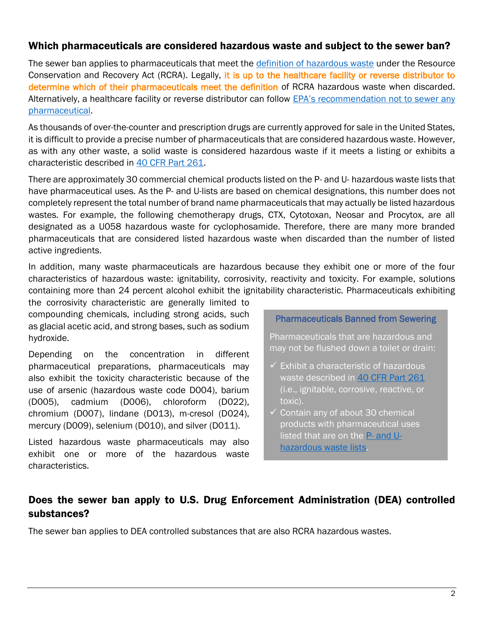#### Which pharmaceuticals are considered hazardous waste and subject to the sewer ban?

The sewer ban applies to pharmaceuticals that meet the [definition of hazardous waste](https://www.epa.gov/hw/defining-hazardous-waste-listed-characteristic-and-mixed-radiological-wastes) under the Resource Conservation and Recovery Act (RCRA). Legally, it is up to the healthcare facility or reverse distributor to determine which of their pharmaceuticals meet the definition of RCRA hazardous waste when discarded. Alternatively, a healthcare facility or reverse distributor can follow EPA's recommendation not to sewer any [pharmaceutical.](https://www.epa.gov/hwgenerators/frequent-questions-about-management-standards-hazardous-waste-pharmaceuticals-and#c1)

As thousands of over-the-counter and prescription drugs are currently approved for sale in the United States, it is difficult to provide a precise number of pharmaceuticals that are considered hazardous waste. However, as with any other waste, a solid waste is considered hazardous waste if it meets a listing or exhibits a characteristic described in [40 CFR Part 261.](https://www.ecfr.gov/current/title-40/chapter-I/subchapter-I/part-261?toc=1)

There are approximately 30 commercial chemical products listed on the P- and U- hazardous waste lists that have pharmaceutical uses. As the P- and U-lists are based on chemical designations, this number does not completely represent the total number of brand name pharmaceuticals that may actually be listed hazardous wastes. For example, the following chemotherapy drugs, CTX, Cytotoxan, Neosar and Procytox, are all designated as a U058 hazardous waste for cyclophosamide. Therefore, there are many more branded pharmaceuticals that are considered listed hazardous waste when discarded than the number of listed active ingredients.

In addition, many waste pharmaceuticals are hazardous because they exhibit one or more of the four characteristics of hazardous waste: ignitability, corrosivity, reactivity and toxicity. For example, solutions containing more than 24 percent alcohol exhibit the ignitability characteristic. Pharmaceuticals exhibiting

the corrosivity characteristic are generally limited to compounding chemicals, including strong acids, such as glacial acetic acid, and strong bases, such as sodium hydroxide.

Depending on the concentration in different pharmaceutical preparations, pharmaceuticals may also exhibit the toxicity characteristic because of the use of arsenic (hazardous waste code D004), barium (D005), cadmium (D006), chloroform (D022), chromium (D007), lindane (D013), m-cresol (D024), mercury (D009), selenium (D010), and silver (D011).

Listed hazardous waste pharmaceuticals may also exhibit one or more of the hazardous waste characteristics.

Pharmaceuticals Banned from Sewering

Pharmaceuticals that are hazardous and may not be flushed down a toilet or drain:

- $\checkmark$  Exhibit a characteristic of hazardous waste described in 40 [CFR Part 261](https://www.ecfr.gov/current/title-40/chapter-I/subchapter-I/part-261?toc=1) (i.e., ignitable, corrosive, reactive, or toxic).
- $\checkmark$  Contain any of about 30 chemical products with pharmaceutical uses listed that are on the P- [and U](https://www.ecfr.gov/current/title-40/chapter-I/subchapter-I/part-261/subpart-D#p-261.33(e))[hazardous waste lists.](https://www.ecfr.gov/current/title-40/chapter-I/subchapter-I/part-261/subpart-D#p-261.33(e))

# Does the sewer ban apply to U.S. Drug Enforcement Administration (DEA) controlled substances?

The sewer ban applies to DEA controlled substances that are also RCRA hazardous wastes.